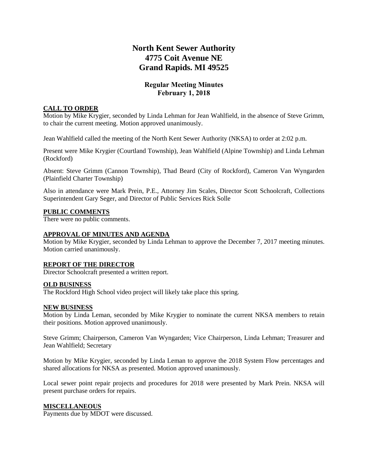# **North Kent Sewer Authority 4775 Coit Avenue NE Grand Rapids. MI 49525**

### **Regular Meeting Minutes February 1, 2018**

#### **CALL TO ORDER**

Motion by Mike Krygier, seconded by Linda Lehman for Jean Wahlfield, in the absence of Steve Grimm, to chair the current meeting. Motion approved unanimously.

Jean Wahlfield called the meeting of the North Kent Sewer Authority (NKSA) to order at 2:02 p.m.

Present were Mike Krygier (Courtland Township), Jean Wahlfield (Alpine Township) and Linda Lehman (Rockford)

Absent: Steve Grimm (Cannon Township), Thad Beard (City of Rockford), Cameron Van Wyngarden (Plainfield Charter Township)

Also in attendance were Mark Prein, P.E., Attorney Jim Scales, Director Scott Schoolcraft, Collections Superintendent Gary Seger, and Director of Public Services Rick Solle

#### **PUBLIC COMMENTS**

There were no public comments.

#### **APPROVAL OF MINUTES AND AGENDA**

Motion by Mike Krygier, seconded by Linda Lehman to approve the December 7, 2017 meeting minutes. Motion carried unanimously.

#### **REPORT OF THE DIRECTOR**

Director Schoolcraft presented a written report.

#### **OLD BUSINESS**

The Rockford High School video project will likely take place this spring.

#### **NEW BUSINESS**

Motion by Linda Leman, seconded by Mike Krygier to nominate the current NKSA members to retain their positions. Motion approved unanimously.

Steve Grimm; Chairperson, Cameron Van Wyngarden; Vice Chairperson, Linda Lehman; Treasurer and Jean Wahlfield; Secretary

Motion by Mike Krygier, seconded by Linda Leman to approve the 2018 System Flow percentages and shared allocations for NKSA as presented. Motion approved unanimously.

Local sewer point repair projects and procedures for 2018 were presented by Mark Prein. NKSA will present purchase orders for repairs.

#### **MISCELLANEOUS**

Payments due by MDOT were discussed.